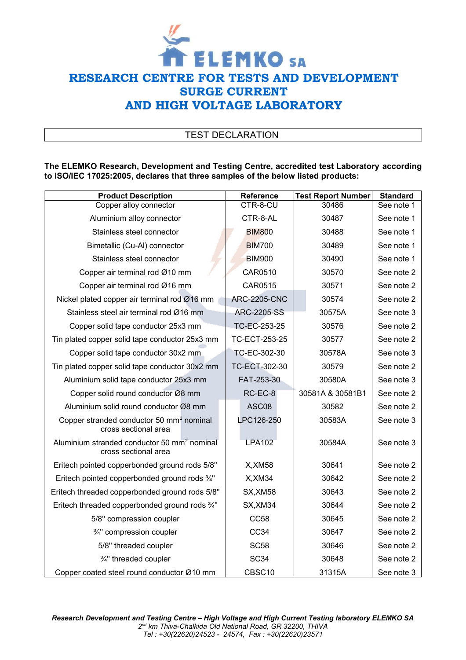

# TEST DECLARATION

#### **The ELEMKO Research, Development and Testing Centre, accredited test Laboratory according to ISO/IEC 17025:2005, declares that three samples of the below listed products:**

| <b>Product Description</b>                                                      | Reference           | <b>Test Report Number</b> | <b>Standard</b> |
|---------------------------------------------------------------------------------|---------------------|---------------------------|-----------------|
| Copper alloy connector                                                          | CTR-8-CU            | 30486                     | See note 1      |
| Aluminium alloy connector                                                       | CTR-8-AL            | 30487                     | See note 1      |
| Stainless steel connector                                                       | <b>BIM800</b>       | 30488                     | See note 1      |
| Bimetallic (Cu-Al) connector                                                    | <b>BIM700</b>       | 30489                     | See note 1      |
| Stainless steel connector                                                       | <b>BIM900</b>       | 30490                     | See note 1      |
| Copper air terminal rod Ø10 mm                                                  | CAR0510             | 30570                     | See note 2      |
| Copper air terminal rod Ø16 mm                                                  | CAR0515             | 30571                     | See note 2      |
| Nickel plated copper air terminal rod Ø16 mm                                    | <b>ARC-2205-CNC</b> | 30574                     | See note 2      |
| Stainless steel air terminal rod Ø16 mm                                         | <b>ARC-2205-SS</b>  | 30575A                    | See note 3      |
| Copper solid tape conductor 25x3 mm                                             | TC-EC-253-25        | 30576                     | See note 2      |
| Tin plated copper solid tape conductor 25x3 mm                                  | TC-ECT-253-25       | 30577                     | See note 2      |
| Copper solid tape conductor 30x2 mm                                             | TC-EC-302-30        | 30578A                    | See note 3      |
| Tin plated copper solid tape conductor 30x2 mm                                  | TC-ECT-302-30       | 30579                     | See note 2      |
| Aluminium solid tape conductor 25x3 mm                                          | FAT-253-30          | 30580A                    | See note 3      |
| Copper solid round conductor Ø8 mm                                              | RC-EC-8             | 30581A & 30581B1          | See note 2      |
| Aluminium solid round conductor Ø8 mm                                           | ASC08               | 30582                     | See note 2      |
| Copper stranded conductor 50 mm <sup>2</sup> nominal<br>cross sectional area    | LPC126-250          | 30583A                    | See note 3      |
| Aluminium stranded conductor 50 mm <sup>2</sup> nominal<br>cross sectional area | <b>LPA102</b>       | 30584A                    | See note 3      |
| Eritech pointed copperbonded ground rods 5/8"                                   | X, XM58             | 30641                     | See note 2      |
| Eritech pointed copperbonded ground rods 3/4"                                   | X, XM34             | 30642                     | See note 2      |
| Eritech threaded copperbonded ground rods 5/8"                                  | SX, XM58            | 30643                     | See note 2      |
| Eritech threaded copperbonded ground rods 3/4"                                  | SX, XM34            | 30644                     | See note 2      |
| 5/8" compression coupler                                                        | <b>CC58</b>         | 30645                     | See note 2      |
| 3/4" compression coupler                                                        | CC34                | 30647                     | See note 2      |
| 5/8" threaded coupler                                                           | <b>SC58</b>         | 30646                     | See note 2      |
| 3/4" threaded coupler                                                           | <b>SC34</b>         | 30648                     | See note 2      |
| Copper coated steel round conductor Ø10 mm                                      | CBSC10              | 31315A                    | See note 3      |